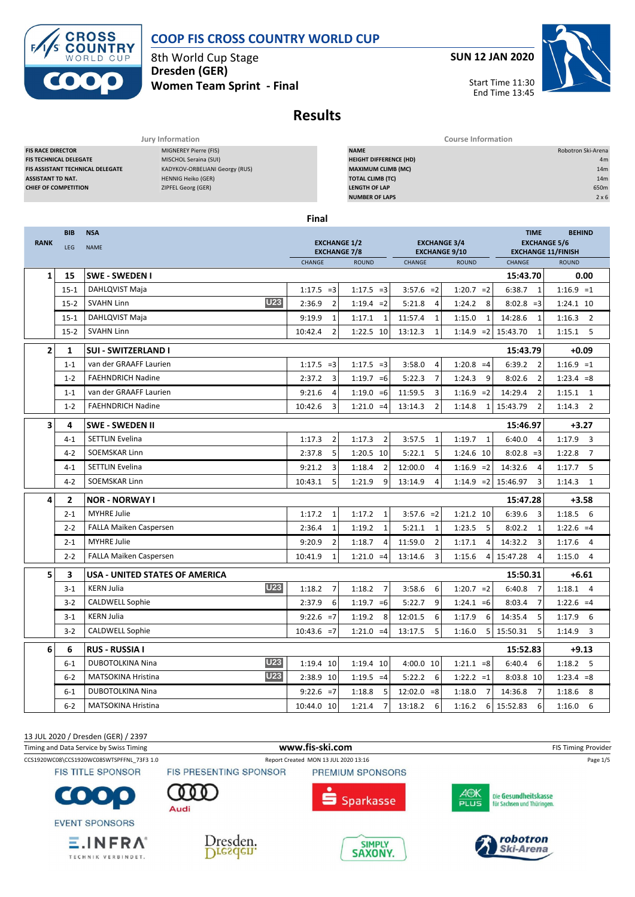

TECHNIK VERBINDET.

# **COOP FIS CROSS COUNTRY WORLD CUP**

**SUN 12 JAN 2020**



8th World Cup Stage **Dresden (GER) Women Team Sprint - Final**

# **Results**

| Jury Information                                                          |                           |  | <b>Course Information</b>     |                 |                    |  |  |  |  |
|---------------------------------------------------------------------------|---------------------------|--|-------------------------------|-----------------|--------------------|--|--|--|--|
| <b>FIS RACE DIRECTOR</b>                                                  | MIGNEREY Pierre (FIS)     |  | <b>NAME</b>                   |                 | Robotron Ski-Arena |  |  |  |  |
| <b>FIS TECHNICAL DELEGATE</b>                                             | MISCHOL Seraina (SUI)     |  | <b>HEIGHT DIFFERENCE (HD)</b> |                 | 4m                 |  |  |  |  |
| KADYKOV-ORBELIANI Georgy (RUS)<br><b>FIS ASSISTANT TECHNICAL DELEGATE</b> |                           |  | <b>MAXIMUM CLIMB (MC)</b>     | 14 <sub>m</sub> |                    |  |  |  |  |
| <b>ASSISTANT TD NAT.</b>                                                  | <b>HENNIG Heiko (GER)</b> |  | <b>TOTAL CLIMB (TC)</b>       |                 | 14m                |  |  |  |  |
| <b>CHIEF OF COMPETITION</b>                                               | ZIPFEL Georg (GER)        |  | <b>LENGTH OF LAP</b>          |                 | 650m               |  |  |  |  |
|                                                                           |                           |  | <b>NUMBER OF LAPS</b>         |                 | $2 \times 6$       |  |  |  |  |
|                                                                           |                           |  |                               |                 |                    |  |  |  |  |
| <b>Final</b>                                                              |                           |  |                               |                 |                    |  |  |  |  |
| <b>BIB</b><br><b>NSA</b>                                                  |                           |  |                               | <b>TIME</b>     | <b>BEHIND</b>      |  |  |  |  |

| <b>RANK</b>    | <b>BIB</b>     | <b>NSA</b><br><b>EXCHANGE 1/2</b><br><b>EXCHANGE 3/4</b> |                           |                          |                           |                          | <b>TIME</b><br><b>EXCHANGE 5/6</b> | <b>BEHIND</b>            |  |
|----------------|----------------|----------------------------------------------------------|---------------------------|--------------------------|---------------------------|--------------------------|------------------------------------|--------------------------|--|
|                | LEG            | <b>NAME</b>                                              | <b>EXCHANGE 7/8</b>       |                          | <b>EXCHANGE 9/10</b>      |                          | <b>EXCHANGE 11/FINISH</b>          |                          |  |
|                |                |                                                          | CHANGE                    | <b>ROUND</b>             | CHANGE                    | <b>ROUND</b>             | <b>CHANGE</b>                      | <b>ROUND</b>             |  |
| $\mathbf{1}$   | 15             | <b>SWE - SWEDEN I</b>                                    |                           |                          |                           |                          | 15:43.70                           | 0.00                     |  |
|                | $15 - 1$       | DAHLQVIST Maja                                           | $1:17.5 = 3$              | $1:17.5 = 3$             | $3:57.6 = 2$              | $1:20.7 = 2$             | 6:38.7<br>$\overline{1}$           | $1:16.9 = 1$             |  |
|                | $15 - 2$       | U <sub>23</sub><br><b>SVAHN Linn</b>                     | $\overline{2}$<br>2:36.9  | $1:19.4 = 2$             | 5:21.8<br>$\overline{4}$  | 8<br>1:24.2              | $8:02.8 = 3$                       | 1:24.1 10                |  |
|                | $15 - 1$       | DAHLQVIST Maja                                           | 9:19.9<br>$\mathbf{1}$    | 1:17.1<br>$\mathbf{1}$   | 11:57.4<br>1              | 1:15.0<br>1              | 14:28.6<br>1                       | $1:16.3$ 2               |  |
|                | $15-2$         | <b>SVAHN Linn</b>                                        | 10:42.4<br>$\overline{2}$ | 1:22.5 10                | 13:12.3<br>$\mathbf{1}$   | $1:14.9$ = 2 15:43.70    | $\mathbf{1}$                       | $1:15.1$ 5               |  |
| $\overline{2}$ | 1              | <b>SUI - SWITZERLAND I</b>                               |                           |                          |                           |                          | 15:43.79                           | $+0.09$                  |  |
|                | $1 - 1$        | van der GRAAFF Laurien                                   | $1:17.5 = 3$              | $1:17.5 = 3$             | 3:58.0<br>$\overline{4}$  | $1:20.8 = 4$             | 6:39.2<br>$\overline{2}$           | $1:16.9 = 1$             |  |
|                | $1 - 2$        | <b>FAEHNDRICH Nadine</b>                                 | 2:37.2<br>3               | $1:19.7 = 6$             | 5:22.3<br>$\overline{7}$  | 1:24.3<br>9              | 8:02.6<br>$\overline{2}$           | $1:23.4 = 8$             |  |
|                | $1 - 1$        | van der GRAAFF Laurien                                   | 9:21.6<br>$\overline{4}$  | $1:19.0 = 6$             | 11:59.5<br>3              | $1:16.9 = 2$             | 14:29.4<br>$\overline{2}$          | $1:15.1$ 1               |  |
|                | $1 - 2$        | <b>FAEHNDRICH Nadine</b>                                 | 10:42.6<br>$\overline{3}$ | $1:21.0 = 4$             | $\overline{2}$<br>13:14.3 | 1:14.8<br>$\mathbf{1}$   | 15:43.79<br>$\overline{2}$         | 1:14.3<br>$\overline{2}$ |  |
| 3              | 4              | <b>SWE - SWEDEN II</b>                                   |                           |                          |                           |                          | 15:46.97                           | $+3.27$                  |  |
|                | $4 - 1$        | <b>SETTLIN Evelina</b>                                   | 1:17.3<br>$\overline{2}$  | $\overline{2}$<br>1:17.3 | 3:57.5<br>$\mathbf{1}$    | 1:19.7<br>$\mathbf{1}$   | 6:40.0<br>$\overline{4}$           | $1:17.9$ 3               |  |
|                | $4 - 2$        | SOEMSKAR Linn                                            | 2:37.8<br>5               | 1:20.5 10                | 5:22.1<br>5               | 1:24.6 10                | $8:02.8 = 3$                       | 1:22.8<br>$\overline{7}$ |  |
|                | $4 - 1$        | <b>SETTLIN Evelina</b>                                   | 9:21.2<br>3               | $\overline{2}$<br>1:18.4 | 12:00.0<br>$\overline{4}$ | $1:16.9 = 2$             | 14:32.6<br>$\overline{4}$          | 1:17.7<br>5              |  |
|                | $4 - 2$        | <b>SOEMSKAR Linn</b>                                     | 5<br>10:43.1              | 9<br>1:21.9              | 13:14.9<br>$\overline{a}$ | $1:14.9$ = 2 15:46.97    | $\overline{3}$                     | $\overline{1}$<br>1:14.3 |  |
| 4              | $\overline{2}$ | <b>NOR - NORWAY I</b>                                    |                           |                          |                           |                          | 15:47.28                           | $+3.58$                  |  |
|                | $2 - 1$        | <b>MYHRE Julie</b>                                       | $\mathbf{1}$<br>1:17.2    | 1:17.2<br>$\mathbf{1}$   | $3:57.6 = 2$              | 1:21.2 10                | 6:39.6<br>$\overline{3}$           | $1:18.5$ 6               |  |
|                | $2 - 2$        | FALLA Maiken Caspersen                                   | $\mathbf{1}$<br>2:36.4    | 1:19.2<br>$\mathbf{1}$   | 5:21.1<br>$\mathbf{1}$    | 1:23.5<br>5              | 8:02.2<br>$\mathbf{1}$             | $1:22.6 = 4$             |  |
|                | $2 - 1$        | <b>MYHRE Julie</b>                                       | $\overline{2}$<br>9:20.9  | 1:18.7<br>$\overline{4}$ | 11:59.0<br>$\overline{2}$ | 4<br>1:17.1              | 14:32.2<br>$\overline{3}$          | 1:17.6<br>$\overline{4}$ |  |
|                | $2 - 2$        | <b>FALLA Maiken Caspersen</b>                            | 10:41.9<br>$\mathbf{1}$   | $1:21.0 = 4$             | 13:14.6<br>3              | 1:15.6<br>4              | 15:47.28<br>$\overline{4}$         | 1:15.0<br>$\overline{4}$ |  |
| 5              | 3              | USA - UNITED STATES OF AMERICA                           |                           |                          |                           |                          | 15:50.31                           | $+6.61$                  |  |
|                | $3-1$          | <b>U23</b><br><b>KERN Julia</b>                          | 1:18.2<br>$\overline{7}$  | 1:18.2<br>$\overline{7}$ | 3:58.6<br>6               | $1:20.7 = 2$             | 6:40.8<br>$\overline{7}$           | $1:18.1$ 4               |  |
|                | $3 - 2$        | <b>CALDWELL Sophie</b>                                   | 2:37.9<br>6               | $1:19.7 = 6$             | 5:22.7<br>9               | $1:24.1 = 6$             | 8:03.4<br>$\overline{7}$           | $1:22.6 = 4$             |  |
|                | $3 - 1$        | <b>KERN Julia</b>                                        | $9:22.6 = 7$              | 1:19.2<br>8              | 12:01.5<br>6              | 6<br>1:17.9              | 14:35.4<br>5                       | 6<br>1:17.9              |  |
|                | $3-2$          | <b>CALDWELL Sophie</b>                                   | $10:43.6 = 7$             | $1:21.0 = 4$             | 5<br>13:17.5              | 1:16.0<br>5              | 15:50.31<br>5                      | 1:14.9<br>3              |  |
| 6              | 6              | <b>RUS - RUSSIA I</b>                                    |                           |                          |                           |                          | 15:52.83                           | $+9.13$                  |  |
|                | $6 - 1$        | <b>U23</b><br><b>DUBOTOLKINA Nina</b>                    | 1:19.4 10                 | 1:19.4 10                | 4:00.0 10                 | $1:21.1 = 8$             | 6:40.4<br>6                        | $1:18.2$ 5               |  |
|                | $6 - 2$        | <b>U23</b><br><b>MATSOKINA Hristina</b>                  | 2:38.9 10                 | $1:19.5 = 4$             | 5:22.2<br>6               | $1:22.2 = 1$             | 8:03.8 10                          | $1:23.4 = 8$             |  |
|                | $6 - 1$        | <b>DUBOTOLKINA Nina</b>                                  | $9:22.6 = 7$              | 1:18.8<br>5              | $12:02.0 = 8$             | 1:18.0<br>$\overline{7}$ | 14:36.8<br>$\overline{7}$          | 1:18.6<br>8              |  |
|                | $6 - 2$        | <b>MATSOKINA Hristina</b>                                | 10:44.0 10                | $\overline{7}$<br>1:21.4 | 13:18.2<br>6              | 1:16.2<br>6              | 15:52.83<br>6                      | 1:16.0<br>6              |  |

13 JUL 2020 / Dresden (GER) / 2397 Timing and Data Service by Swiss Timing **WWW.fis-Ski.com www.fis-ski.com** FIS Timing Provider CCS1920WC08\CCS1920WC08SWTSPFFNL\_73F3 1.0 Report Created MON 13 JUL 2020 13:16 Page 1/5 **FIS TITLE SPONSOR** FIS PRESENTING SPONSOR PREMIUM SPONSORS AOK<br>PLUS Die Gesundheitskasse C  $\bullet$  : **Sparkasse** für Sachsen und Thüringen. Audi **EVENT SPONSORS** robotron  $E$ . INFRA<sup>®</sup> Dresden. SIMPLY<br>SAXONY. **Ski-Arena** Dresden.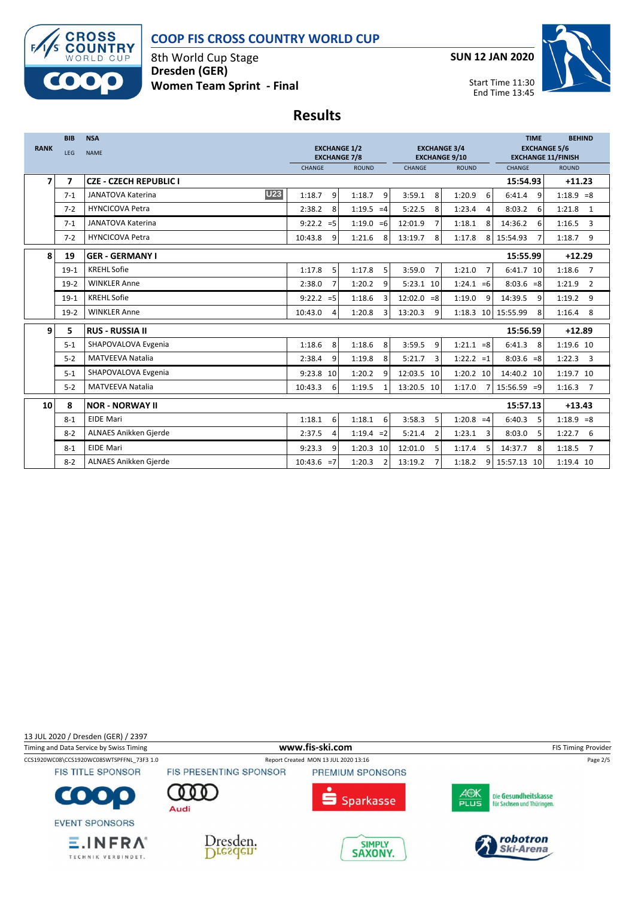

8th World Cup Stage **Dresden (GER) Women Team Sprint - Final** **SUN 12 JAN 2020**



Start Time 11:30 End Time 13:45

# **Results**

|                | <b>BIB</b>     | <b>NSA</b>                             |                                            |                        |                                             |                          | <b>TIME</b>                                      | <b>BEHIND</b> |  |
|----------------|----------------|----------------------------------------|--------------------------------------------|------------------------|---------------------------------------------|--------------------------|--------------------------------------------------|---------------|--|
| <b>RANK</b>    | <b>LEG</b>     | <b>NAME</b>                            | <b>EXCHANGE 1/2</b><br><b>EXCHANGE 7/8</b> |                        | <b>EXCHANGE 3/4</b><br><b>EXCHANGE 9/10</b> |                          | <b>EXCHANGE 5/6</b><br><b>EXCHANGE 11/FINISH</b> |               |  |
|                |                |                                        | CHANGE                                     | <b>ROUND</b>           | CHANGE                                      | <b>ROUND</b>             | CHANGE                                           | <b>ROUND</b>  |  |
| $\overline{ }$ | $\overline{ }$ | <b>CZE - CZECH REPUBLIC I</b>          |                                            |                        |                                             |                          | 15:54.93                                         | $+11.23$      |  |
|                | $7 - 1$        | <b>U23</b><br><b>JANATOVA Katerina</b> | 1:18.7<br>9                                | $1:18.7$ 9             | 3:59.1<br>8                                 | 1:20.9<br>6              | 6:41.4<br>$\mathsf{q}$                           | $1:18.9 = 8$  |  |
|                | $7 - 2$        | <b>HYNCICOVA Petra</b>                 | 2:38.2<br>8                                | $1:19.5 = 4$           | 5:22.5<br>8                                 | 1:23.4<br>4              | 8:03.2<br>6                                      | $1:21.8$ 1    |  |
|                | $7 - 1$        | <b>JANATOVA Katerina</b>               | $9:22.2 = 5$                               | $1:19.0 = 6$           | 12:01.9                                     | 1:18.1<br>8              | 14:36.2<br>6                                     | $1:16.5$ 3    |  |
|                | $7 - 2$        | <b>HYNCICOVA Petra</b>                 | 10:43.8<br>q                               | 1:21.6<br>-8           | 13:19.7<br>8                                | 1:17.8<br>Я              | 15:54.93                                         | $1:18.7$ 9    |  |
| 8              | 19             | <b>GER - GERMANY I</b>                 |                                            |                        |                                             |                          | 15:55.99                                         | $+12.29$      |  |
|                | $19-1$         | <b>KREHL Sofie</b>                     | 1:17.8<br>5                                | 1:17.8<br>5            | 3:59.0<br>$\overline{7}$                    | 1:21.0<br>$\overline{7}$ | 6:41.7 10                                        | $1:18.6$ 7    |  |
|                | $19-2$         | <b>WINKLER Anne</b>                    | 2:38.0<br>7                                | 1:20.2<br>q            | 5:23.1 10                                   | $1:24.1 = 6$             | $8:03.6 = 8$                                     | $1:21.9$ 2    |  |
|                | $19-1$         | <b>KREHL Sofie</b>                     | $9:22.2 = 5$                               | 1:18.6<br>3            | $12:02.0 = 8$                               | 1:19.0<br>9              | 14:39.5<br>9                                     | $1:19.2$ 9    |  |
|                | $19-2$         | <b>WINKLER Anne</b>                    | 10:43.0<br>$\overline{4}$                  | 1:20.8<br>3            | 13:20.3<br>9                                | 1:18.3 10 15:55.99       | 8                                                | $1:16.4$ 8    |  |
| 9              | 5              | <b>RUS - RUSSIA II</b>                 |                                            |                        |                                             |                          | 15:56.59                                         | $+12.89$      |  |
|                | $5 - 1$        | SHAPOVALOVA Evgenia                    | 8<br>1:18.6                                | 1:18.6<br>8            | 3:59.5<br>9                                 | $1:21.1 = 8$             | 6:41.3<br>8                                      | 1:19.6 10     |  |
|                | $5-2$          | <b>MATVEEVA Natalia</b>                | 2:38.4<br>9                                | 1:19.8<br>8            | 5:21.7<br>$\overline{3}$                    | $1:22.2 = 1$             | $8:03.6 = 8$                                     | $1:22.3$ 3    |  |
|                | $5 - 1$        | SHAPOVALOVA Evgenia                    | 9:23.8 10                                  | 1:20.2<br>9            | 12:03.5 10                                  | 1:20.2 10                | 14:40.2 10                                       | 1:19.7 10     |  |
|                | $5 - 2$        | <b>MATVEEVA Natalia</b>                | 10:43.3<br>6                               | 1:19.5<br>$\mathbf{1}$ | 13:20.5 10                                  | 1:17.0                   | $15:56.59 = 9$                                   | $1:16.3$ 7    |  |
| 10             | 8              | 15:57.13<br><b>NOR - NORWAY II</b>     |                                            |                        |                                             |                          |                                                  |               |  |
|                | $8 - 1$        | <b>EIDE Mari</b>                       | 1:18.1<br>6                                | 1:18.1<br>6            | 3:58.3<br>5                                 | $1:20.8 = 4$             | 6:40.3<br>5                                      | $1:18.9 = 8$  |  |
|                | $8 - 2$        | ALNAES Anikken Gjerde                  | 2:37.5<br>4                                | $1:19.4 = 2$           | 5:21.4<br>$\mathcal{P}$                     | 1:23.1<br>3              | 8:03.0<br>5                                      | $1:22.7$ 6    |  |
|                | $8 - 1$        | <b>EIDE Mari</b>                       | 9:23.3<br>q                                | 1:20.3 10              | 12:01.0<br>5                                | 1:17.4<br>5              | 14:37.7<br>8                                     | $1:18.5$ 7    |  |
|                | $8 - 2$        | ALNAES Anikken Gjerde                  | $10:43.6 = 7$                              | 1:20.3<br>2            | 13:19.2                                     | 1:18.2<br>9              | 15:57.13 10                                      | 1:19.4 10     |  |

13 JUL 2020 / Dresden (GER) / 2397

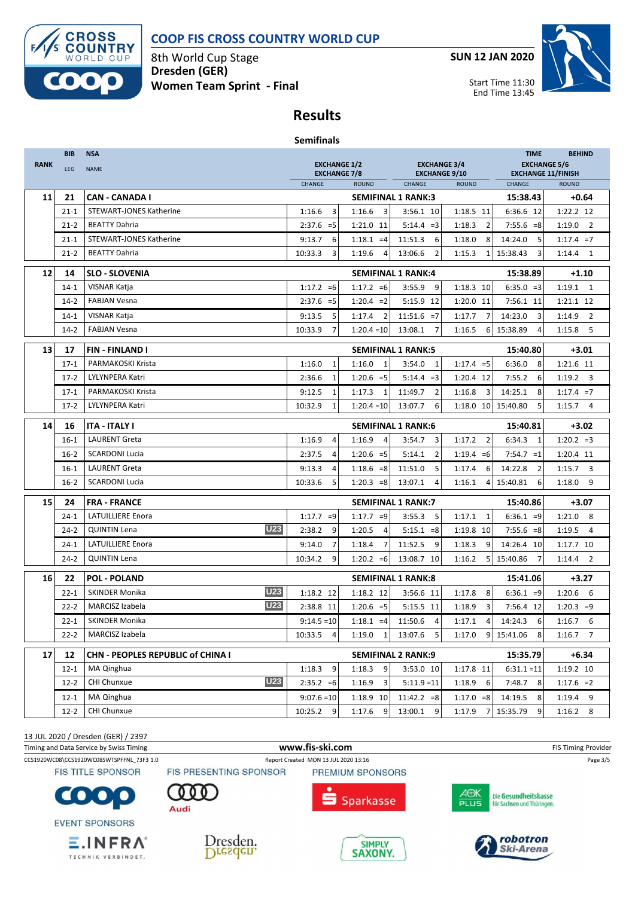

8th World Cup Stage **Dresden (GER) Women Team Sprint - Final** **SUN 12 JAN 2020**



End Time 13:45

## **Results**

| <b>Semifinals</b> |  |
|-------------------|--|
|-------------------|--|

|             | <b>BIB</b> | <b>NSA</b>                               | <b>TIME</b>                                |                                   |                                             |                          |                                                  |                          |  |  |
|-------------|------------|------------------------------------------|--------------------------------------------|-----------------------------------|---------------------------------------------|--------------------------|--------------------------------------------------|--------------------------|--|--|
| <b>RANK</b> | <b>LEG</b> | <b>NAME</b>                              | <b>EXCHANGE 1/2</b><br><b>EXCHANGE 7/8</b> |                                   | <b>EXCHANGE 3/4</b><br><b>EXCHANGE 9/10</b> |                          | <b>EXCHANGE 5/6</b><br><b>EXCHANGE 11/FINISH</b> |                          |  |  |
|             |            |                                          | CHANGE                                     | <b>ROUND</b>                      | <b>CHANGE</b>                               | <b>ROUND</b>             | CHANGE                                           | <b>ROUND</b>             |  |  |
| 11          | 21         | <b>CAN - CANADA I</b>                    |                                            |                                   | <b>SEMIFINAL 1 RANK:3</b>                   |                          | 15:38.43                                         | $+0.64$                  |  |  |
|             | $21 - 1$   | <b>STEWART-JONES Katherine</b>           | 3<br>1:16.6                                | 1:16.6<br>$\overline{\mathbf{3}}$ | 3:56.1 10                                   | 1:18.5 11                | 6:36.6 12                                        | 1:22.2 12                |  |  |
|             | $21 - 2$   | <b>BEATTY Dahria</b>                     | $2:37.6 = 5$                               | 1:21.0 11                         | $5:14.4 = 3$                                | 1:18.3<br>2              | $7:55.6 = 8$                                     | $1:19.0$ 2               |  |  |
|             | $21 - 1$   | <b>STEWART-JONES Katherine</b>           | 6<br>9:13.7                                | $1:18.1 = 4$                      | 6<br>11:51.3                                | 1:18.0<br>8              | 14:24.0<br>5                                     | $1:17.4 = 7$             |  |  |
|             | $21 - 2$   | <b>BEATTY Dahria</b>                     | 10:33.3<br>3                               | 1:19.6<br>4                       | $\overline{2}$<br>13:06.6                   | 1:15.3<br>$\mathbf{1}$   | 15:38.43<br>3                                    | $1:14.4$ 1               |  |  |
| 12          | 14         | <b>SLO - SLOVENIA</b>                    |                                            |                                   | <b>SEMIFINAL 1 RANK:4</b>                   |                          | 15:38.89                                         | $+1.10$                  |  |  |
|             | $14 - 1$   | VISNAR Katja                             | $1:17.2 = 6$                               | $1:17.2 = 6$                      | 3:55.9<br>9                                 | 1:18.3 10                | $6:35.0 = 3$                                     | $1:19.1$ 1               |  |  |
|             | $14 - 2$   | <b>FABJAN Vesna</b>                      | $2:37.6 = 5$                               | $1:20.4 = 2$                      | 5:15.9 12                                   | 1:20.0 11                | 7:56.1 11                                        | 1:21.1 12                |  |  |
|             | $14-1$     | VISNAR Katja                             | 9:13.5<br>5                                | 1:17.4<br>$\overline{2}$          | $11:51.6 = 7$                               | $\overline{7}$<br>1:17.7 | 14:23.0<br>3                                     | $1:14.9$ 2               |  |  |
|             | $14-2$     | <b>FABJAN Vesna</b>                      | 10:33.9<br>$\overline{7}$                  | $1:20.4=10$                       | 13:08.1<br>$\overline{7}$                   | 1:16.5<br>6              | 15:38.89<br>4                                    | $1:15.8$ 5               |  |  |
| 13          | 17         | <b>FIN-FINLAND I</b>                     |                                            |                                   | <b>SEMIFINAL 1 RANK:5</b>                   |                          | 15:40.80                                         | $+3.01$                  |  |  |
|             | $17 - 1$   | PARMAKOSKI Krista                        | 1:16.0<br>1                                | 1:16.0<br>$\mathbf{1}$            | 3:54.0<br>1                                 | $1:17.4 = 5$             | 6:36.0<br>8                                      | 1:21.6 11                |  |  |
|             | $17-2$     | LYLYNPERA Katri                          | $\mathbf{1}$<br>2:36.6                     | $1:20.6 = 5$                      | $5:14.4 = 3$                                | 1:20.4 12                | 7:55.2<br>6                                      | $1:19.2$ 3               |  |  |
|             | $17-1$     | PARMAKOSKI Krista                        | 9:12.5<br>$\mathbf 1$                      | 1:17.3<br>$\mathbf{1}$            | $\overline{2}$<br>11:49.7                   | 1:16.8<br>3              | 14:25.1<br>8                                     | $1:17.4 = 7$             |  |  |
|             | $17-2$     | <b>LYLYNPERA Katri</b>                   | 10:32.9<br>1                               | $1:20.4=10$                       | 13:07.7<br>6                                | 1:18.0 10 15:40.80       | 5                                                | $1:15.7$ 4               |  |  |
| 14          | 16         | <b>ITA - ITALY I</b>                     |                                            |                                   | <b>SEMIFINAL 1 RANK:6</b><br>15:40.81       |                          |                                                  |                          |  |  |
|             | $16 - 1$   | <b>LAURENT Greta</b>                     | 1:16.9<br>4                                | 1:16.9<br>$\overline{a}$          | 3:54.7<br>3                                 | 1:17.2<br>$\overline{2}$ | 6:34.3<br>1                                      | $+3.02$<br>$1:20.2 = 3$  |  |  |
|             | $16-2$     | <b>SCARDONI Lucia</b>                    | 2:37.5<br>4                                | $1:20.6 = 5$                      | 5:14.1<br>2                                 | $1:19.4 = 6$             | $7:54.7 = 1$                                     | 1:20.4 11                |  |  |
|             | $16-1$     | <b>LAURENT Greta</b>                     | 9:13.3<br>4                                | $1:18.6 = 8$                      | 5<br>11:51.0                                | 6<br>1:17.4              | 14:22.8<br>2                                     | 1:15.7<br>3              |  |  |
|             | $16 - 2$   | <b>SCARDONI Lucia</b>                    | 10:33.6<br>5                               | $1:20.3 = 8$                      | 13:07.1<br>4                                | 1:16.1<br>4              | 15:40.81<br>6                                    | 1:18.0<br>9              |  |  |
|             |            |                                          |                                            |                                   |                                             |                          |                                                  |                          |  |  |
| 15          | 24         | <b>FRA - FRANCE</b>                      |                                            |                                   | <b>SEMIFINAL 1 RANK:7</b>                   | 15:40.86                 | $+3.07$                                          |                          |  |  |
|             | $24-1$     | <b>LATUILLIERE Enora</b>                 | $1:17.7 = 9$                               | $1:17.7 = 9$                      | 3:55.3<br>5                                 | 1:17.1<br>1              | $6:36.1 = 9$                                     | $1:21.0$ 8               |  |  |
|             | $24 - 2$   | <b>U23</b><br><b>QUINTIN Lena</b>        | 2:38.2<br>9                                | 1:20.5<br>4                       | $5:15.1 = 8$                                | 1:19.8 10                | $7:55.6 = 8$                                     | 1:19.5<br>$\overline{4}$ |  |  |
|             | $24-1$     | <b>LATUILLIERE Enora</b>                 | $\overline{7}$<br>9:14.0                   | 1:18.4<br>7                       | 11:52.5<br>9                                | 1:18.3<br>9              | 14:26.4 10                                       | 1:17.7 10                |  |  |
|             | $24 - 2$   | <b>QUINTIN Lena</b>                      | 10:34.2<br>9                               | $1:20.2 = 6$                      | 13:08.7 10                                  | 5 <sup>1</sup><br>1:16.2 | 15:40.86<br>7                                    | $1:14.4$ 2               |  |  |
| 16          | 22         | <b>POL - POLAND</b>                      |                                            |                                   | <b>SEMIFINAL 1 RANK:8</b>                   |                          | 15:41.06                                         | $+3.27$                  |  |  |
|             | $22 - 1$   | <b>U23</b><br><b>SKINDER Monika</b>      | 1:18.2 12                                  | 1:18.2 12                         | 3:56.6 11                                   | 1:17.8<br>8              | $6:36.1 = 9$                                     | $1:20.6$ 6               |  |  |
|             | $22 - 2$   | <b>U23</b><br>MARCISZ Izabela            | 2:38.8 11                                  | $1:20.6 = 5$                      | 5:15.5 11                                   | 3<br>1:18.9              | 7:56.4 12                                        | $1:20.3 = 9$             |  |  |
|             | $22 - 1$   | <b>SKINDER Monika</b>                    | $9:14.5=10$                                | $1:18.1 = 4$                      | $\overline{4}$<br>11:50.6                   | 4<br>1:17.1              | 14:24.3<br>6                                     | $1:16.7$ 6               |  |  |
|             | $22 - 2$   | MARCISZ Izabela                          | 10:33.5<br>4                               | 1:19.0<br>1                       | 13:07.6<br>5                                | 1:17.0<br>9              | 15:41.06<br>8                                    | $1:16.7$ 7               |  |  |
| 17          | 12         | <b>CHN - PEOPLES REPUBLIC of CHINA I</b> |                                            |                                   | <b>SEMIFINAL 2 RANK:9</b>                   |                          | 15:35.79                                         | $+6.34$                  |  |  |
|             | $12 - 1$   | MA Qinghua                               | 1:18.3<br>9                                | 1:18.3<br>9                       | 3:53.0 10                                   | 1:17.8 11                | $6:31.1 = 11$                                    | 1:19.2 10                |  |  |
|             | $12 - 2$   | <b>U23</b><br>CHI Chunxue                | $2:35.2 = 6$                               | 1:16.9<br>3                       | $5:11.9 = 11$                               | $1:18.9$ 6               | 7:48.7<br>8                                      | $1:17.6 = 2$             |  |  |
|             | $12 - 1$   | MA Qinghua                               | $9:07.6 = 10$                              | 1:18.9 10                         | $11:42.2 = 8$                               | $1:17.0 = 8$             | 14:19.5<br>8                                     | $1:19.4$ 9               |  |  |
|             | $12 - 2$   | CHI Chunxue                              | 10:25.2<br>9                               | 1:17.6<br>9                       | 13:00.1<br>9                                | 1:17.9<br>7              | 15:35.79<br>9                                    | $1:16.2$ 8               |  |  |

13 JUL 2020 / Dresden (GER) / 2397

TECHNIK VERBINDET.

Timing and Data Service by Swiss Timing **WWW.fis-Ski.com www.fis-ski.com** FIS Timing Provider CCS1920WC08\CCS1920WC08SWTSPFFNL\_73F3 1.0 Report Created MON 13 JUL 2020 13:16 Page 3/5 **FIS TITLE SPONSOR** FIS PRESENTING SPONSOR PREMIUM SPONSORS AOK<br>PLUS Die Gesundheitskasse C  $\bullet$  . **Sparkasse** für Sachsen und Thüringen. Audi **EVENT SPONSORS** robotron  $E$ . INFRA $^{\circ}$ Dresden. SIMPLY<br>SAXONY. **Ski-Arena** Dresden.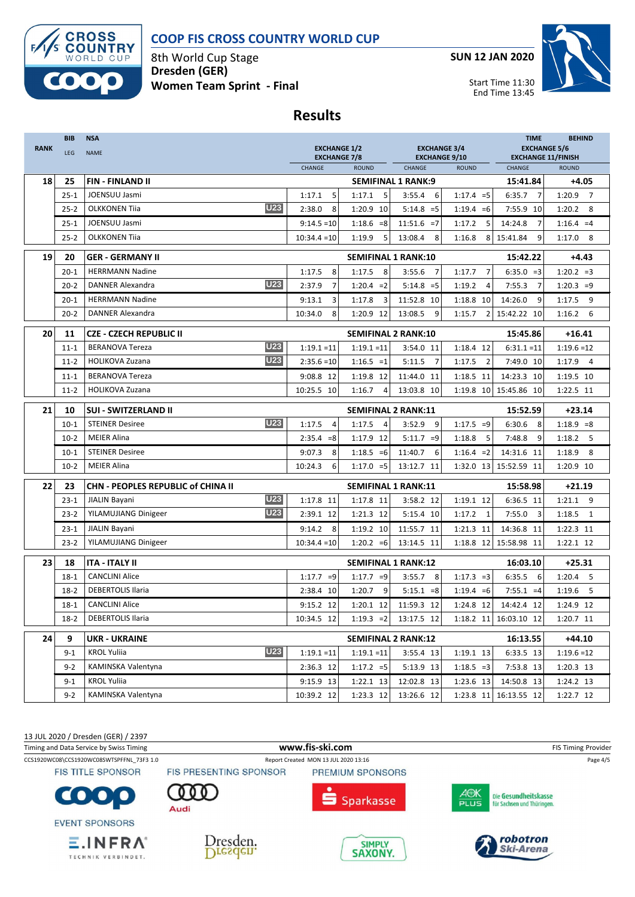

8th World Cup Stage **Dresden (GER) Women Team Sprint - Final** **SUN 12 JAN 2020**



#### **Results**

| <b>RANK</b> | <b>BIB</b><br>LEG | <b>NSA</b><br><b>NAME</b>                 | <b>EXCHANGE 1/2</b><br><b>EXCHANGE 7/8</b> |                                        |                           | <b>EXCHANGE 3/4</b><br><b>EXCHANGE 9/10</b> | <b>TIME</b><br><b>EXCHANGE 5/6</b><br><b>EXCHANGE 11/FINISH</b> | <b>BEHIND</b>            |  |
|-------------|-------------------|-------------------------------------------|--------------------------------------------|----------------------------------------|---------------------------|---------------------------------------------|-----------------------------------------------------------------|--------------------------|--|
|             |                   |                                           | CHANGE                                     | <b>ROUND</b>                           | CHANGE                    | <b>ROUND</b>                                | CHANGE                                                          | <b>ROUND</b>             |  |
| 18          | 25                | <b>FIN - FINLAND II</b>                   |                                            |                                        | <b>SEMIFINAL 1 RANK:9</b> |                                             | 15:41.84                                                        | $+4.05$                  |  |
|             | $25 - 1$          | JOENSUU Jasmi                             | 1:17.1<br>5                                | 1:17.1<br>5                            | 3:55.4<br>6               | $1:17.4 = 5$                                | 6:35.7<br>$\overline{7}$                                        | 1:20.9 7                 |  |
|             | $25 - 2$          | <b>U23</b><br><b>OLKKONEN Tija</b>        | 2:38.0<br>8                                | 1:20.9 10                              | $5:14.8 = 5$              | $1:19.4 = 6$                                | 7:55.9 10                                                       | 1:20.2<br>8              |  |
|             | $25 - 1$          | JOENSUU Jasmi                             | $9:14.5=10$                                | $1:18.6 = 8$                           | $11:51.6 = 7$             | 5<br>1:17.2                                 | 14:24.8<br>$\overline{7}$                                       | $1:16.4 = 4$             |  |
|             | $25 - 2$          | <b>OLKKONEN Tiia</b>                      | $10:34.4 = 10$                             | 5<br>1:19.9                            | 13:08.4<br>8              | 8<br>1:16.8                                 | 9<br>15:41.84                                                   | $1:17.0$ 8               |  |
| 19          | 20                | <b>GER - GERMANY II</b>                   |                                            | <b>SEMIFINAL 1 RANK:10</b>             |                           |                                             | 15:42.22                                                        | $+4.43$                  |  |
|             | $20 - 1$          | <b>HERRMANN Nadine</b>                    | 8<br>1:17.5                                | 1:17.5<br>$\overline{8}$               | $\overline{7}$<br>3:55.6  | $\overline{7}$<br>1:17.7                    | $6:35.0 = 3$                                                    | $1:20.2 = 3$             |  |
|             | $20 - 2$          | <b>U23</b><br><b>DANNER Alexandra</b>     | $\overline{7}$<br>2:37.9                   | $1:20.4 = 2$                           | $5:14.8 = 5$              | 1:19.2<br>4                                 | 7:55.3<br>$\overline{7}$                                        | $1:20.3 = 9$             |  |
|             | $20 - 1$          | <b>HERRMANN Nadine</b>                    | 9:13.1<br>3                                | $\overline{\mathbf{3}}$<br>1:17.8      | 11:52.8 10                | 1:18.8 10                                   | 14:26.0<br>9                                                    | 1:17.5<br>9              |  |
|             | $20 - 2$          | DANNER Alexandra                          | 10:34.0<br>8                               | 1:20.9 12                              | 13:08.5<br>9              | 1:15.7<br>$\overline{2}$                    | 15:42.22 10                                                     | 1:16.2<br>6              |  |
| 20          | 11                | <b>CZE - CZECH REPUBLIC II</b>            |                                            | <b>SEMIFINAL 2 RANK:10</b>             |                           |                                             | 15:45.86                                                        | $+16.41$                 |  |
|             | $11 - 1$          | <b>U23</b><br><b>BERANOVA Tereza</b>      | $1:19.1 = 11$                              | $1:19.1 = 11$                          | 3:54.0 11                 | 1:18.4 12                                   | $6:31.1 = 11$                                                   | $1:19.6 = 12$            |  |
|             | $11 - 2$          | <b>U23</b><br><b>HOLIKOVA Zuzana</b>      | $2:35.6=10$                                | $1:16.5 = 1$                           | 5:11.5<br>$\overline{7}$  | 1:17.5<br>$\overline{2}$                    | 7:49.0 10                                                       | $1:17.9$ 4               |  |
|             | $11 - 1$          | <b>BERANOVA Tereza</b>                    | 9:08.8 12                                  | 1:19.8 12                              | 11:44.0 11                | 1:18.5 11                                   | 14:23.3 10                                                      | 1:19.5 10                |  |
|             | $11 - 2$          | <b>HOLIKOVA Zuzana</b>                    | 10:25.5 10                                 | 1:16.7<br>$\overline{4}$               | 13:03.8 10                |                                             | 1:19.8 10 15:45.86 10                                           | 1:22.5 11                |  |
| 21          | 10                | <b>SUI - SWITZERLAND II</b>               |                                            | <b>SEMIFINAL 2 RANK:11</b>             |                           |                                             | 15:52.59                                                        | $+23.14$                 |  |
|             | $10-1$            | <b>U23</b><br><b>STEINER Desiree</b>      | 1:17.5<br>$\overline{4}$                   | 1:17.5<br>$\overline{4}$               | 3:52.9<br>9               | $1:17.5 = 9$                                | 6:30.6<br>8                                                     | $1:18.9 = 8$             |  |
|             | $10-2$            | <b>MEIER Alina</b>                        | $2:35.4 = 8$                               | 1:17.9 12                              | $5:11.7 = 9$              | 5<br>1:18.8                                 | 7:48.8<br>9                                                     | $1:18.2$ 5               |  |
|             | $10-1$            | <b>STEINER Desiree</b>                    | 9:07.3<br>8                                | $1:18.5 = 6$                           | 11:40.7<br>6              | $1:16.4 = 2$                                | 14:31.6 11                                                      | 1:18.9<br>8              |  |
|             | $10-2$            | <b>MEIER Alina</b>                        | 10:24.3<br>6                               | $1:17.0 = 5$                           | 13:12.7 11                | 1:32.0 13                                   | 15:52.59 11                                                     | 1:20.9 10                |  |
| 22          | 23                | <b>CHN - PEOPLES REPUBLIC of CHINA II</b> |                                            | <b>SEMIFINAL 1 RANK:11</b>             | 15:58.98                  | $+21.19$                                    |                                                                 |                          |  |
|             | $23 - 1$          | <b>U23</b><br>JIALIN Bayani               | 1:17.8 11                                  | 1:17.8 11                              | 3:58.2 12                 | 1:19.1 12                                   | 6:36.5 11                                                       | $1:21.1$ 9               |  |
|             | $23 - 2$          | <b>U23</b><br>YILAMUJIANG Dinigeer        | 2:39.1 12                                  | 1:21.3 12                              | 5:15.4 10                 | 1:17.2<br>$\mathbf{1}$                      | 7:55.0<br>$\overline{\mathbf{3}}$                               | 1:18.5<br>$\overline{1}$ |  |
|             | $23-1$            | JIALIN Bayani                             | 9:14.2<br>8                                | 1:19.2 10                              | 11:55.7 11                | 1:21.3 11                                   | 14:36.8 11                                                      | 1:22.3 11                |  |
|             | $23 - 2$          | YILAMUJIANG Dinigeer                      | $10:34.4 = 10$                             | $1:20.2 = 6$                           | 13:14.5 11                | 1:18.8 12                                   | 15:58.98 11                                                     | 1:22.1 12                |  |
| 23          | 18                | <b>ITA - ITALY II</b>                     |                                            | <b>SEMIFINAL 1 RANK:12</b><br>16:03.10 |                           |                                             |                                                                 |                          |  |
|             | $18-1$            | <b>CANCLINI Alice</b>                     | $1:17.7 = 9$                               | $1:17.7 = 9$                           | 8<br>3:55.7               | $1:17.3 = 3$                                | 6:35.5<br>6                                                     | $1:20.4$ 5               |  |
|             | $18-2$            | <b>DEBERTOLIS Ilaria</b>                  | 2:38.4 10                                  | 9<br>1:20.7                            | $5:15.1 = 8$              | $1:19.4 = 6$                                | $7:55.1 = 4$                                                    | $1:19.6$ 5               |  |
|             | $18-1$            | <b>CANCLINI Alice</b>                     | 9:15.2 12                                  | 1:20.1 12                              | 11:59.3 12                | 1:24.8 12                                   | 14:42.4 12                                                      | 1:24.9 12                |  |
|             | $18-2$            | <b>DEBERTOLIS Ilaria</b>                  | 10:34.5 12                                 | $1:19.3 = 2$                           | 13:17.5 12                |                                             | 1:18.2 11 16:03.10 12                                           | 1:20.7 11                |  |
| 24          | 9                 | <b>UKR - UKRAINE</b>                      |                                            | <b>SEMIFINAL 2 RANK:12</b>             |                           |                                             | 16:13.55                                                        | $+44.10$                 |  |
|             | $9 - 1$           | <b>U23</b><br><b>KROL Yuliia</b>          | $1:19.1 = 11$                              | $1:19.1 = 11$                          | 3:55.4 13                 | 1:19.1 13                                   | 6:33.5 13                                                       | $1:19.6 = 12$            |  |
|             | $9-2$             | KAMINSKA Valentyna                        | 2:36.3 12                                  | $1:17.2 = 5$                           | 5:13.9 13                 | $1:18.5 = 3$                                | 7:53.8 13                                                       | 1:20.3 13                |  |
|             | $9 - 1$           | <b>KROL Yuliia</b>                        | 9:15.9 13                                  | 1:22.1 13                              | 12:02.8 13                | 1:23.6 13                                   | 14:50.8 13                                                      | 1:24.2 13                |  |
|             | $9 - 2$           | KAMINSKA Valentyna                        | 10:39.2 12                                 | 1:23.3 12                              | 13:26.6 12                | 1:23.8 11                                   | 16:13.55 12                                                     | 1:22.7 12                |  |